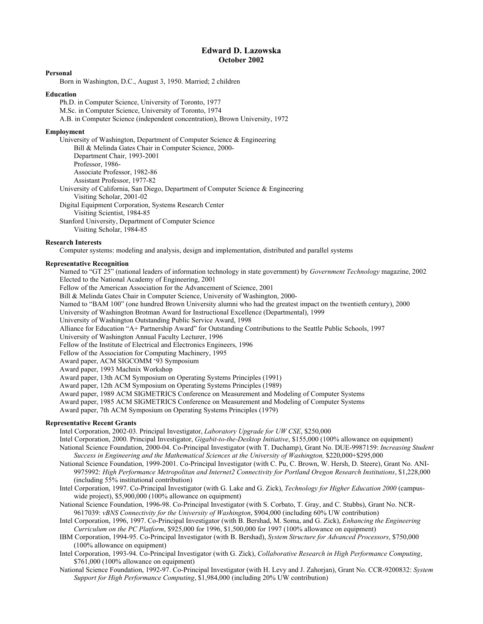# **Edward D. Lazowska October 2002**

## **Personal**

Born in Washington, D.C., August 3, 1950. Married; 2 children

#### **Education**

Ph.D. in Computer Science, University of Toronto, 1977 M.Sc. in Computer Science, University of Toronto, 1974 A.B. in Computer Science (independent concentration), Brown University, 1972

#### **Employment**

University of Washington, Department of Computer Science & Engineering Bill & Melinda Gates Chair in Computer Science, 2000- Department Chair, 1993-2001 Professor, 1986- Associate Professor, 1982-86 Assistant Professor, 1977-82 University of California, San Diego, Department of Computer Science & Engineering Visiting Scholar, 2001-02 Digital Equipment Corporation, Systems Research Center Visiting Scientist, 1984-85 Stanford University, Department of Computer Science

Visiting Scholar, 1984-85

### **Research Interests**

Computer systems: modeling and analysis, design and implementation, distributed and parallel systems

## **Representative Recognition**

Named to "GT 25" (national leaders of information technology in state government) by *Government Technology* magazine, 2002 Elected to the National Academy of Engineering, 2001

Fellow of the American Association for the Advancement of Science, 2001

Bill & Melinda Gates Chair in Computer Science, University of Washington, 2000-

Named to "BAM 100" (one hundred Brown University alumni who had the greatest impact on the twentieth century), 2000

University of Washington Brotman Award for Instructional Excellence (Departmental), 1999

University of Washington Outstanding Public Service Award, 1998

Alliance for Education "A+ Partnership Award" for Outstanding Contributions to the Seattle Public Schools, 1997

University of Washington Annual Faculty Lecturer, 1996

Fellow of the Institute of Electrical and Electronics Engineers, 1996

Fellow of the Association for Computing Machinery, 1995

Award paper, ACM SIGCOMM '93 Symposium

Award paper, 1993 Machnix Workshop

Award paper, 13th ACM Symposium on Operating Systems Principles (1991)

Award paper, 12th ACM Symposium on Operating Systems Principles (1989)

Award paper, 1989 ACM SIGMETRICS Conference on Measurement and Modeling of Computer Systems

Award paper, 1985 ACM SIGMETRICS Conference on Measurement and Modeling of Computer Systems

Award paper, 7th ACM Symposium on Operating Systems Principles (1979)

# **Representative Recent Grants**

Intel Corporation, 2002-03. Principal Investigator, *Laboratory Upgrade for UW CSE*, \$250,000

Intel Corporation, 2000. Principal Investigator, *Gigabit-to-the-Desktop Initiative*, \$155,000 (100% allowance on equipment)

National Science Foundation, 2000-04. Co-Principal Investigator (with T. Duchamp), Grant No. DUE-9987159: *Increasing Student Success in Engineering and the Mathematical Sciences at the University of Washington,* \$220,000+\$295,000

- National Science Foundation, 1999-2001. Co-Principal Investigator (with C. Pu, C. Brown, W. Hersh, D. Steere), Grant No. ANI-9975992: *High Performance Metropolitan and Internet2 Connectivity for Portland Oregon Research Institutions*, \$1,228,000 (including 55% institutional contribution)
- Intel Corporation, 1997. Co-Principal Investigator (with G. Lake and G. Zick), *Technology for Higher Education 2000* (campuswide project), \$5,900,000 (100% allowance on equipment)
- National Science Foundation, 1996-98. Co-Principal Investigator (with S. Corbato, T. Gray, and C. Stubbs), Grant No. NCR-9617039: *vBNS Connectivity for the University of Washington*, \$904,000 (including 60% UW contribution)
- Intel Corporation, 1996, 1997. Co-Principal Investigator (with B. Bershad, M. Soma, and G. Zick), *Enhancing the Engineering Curriculum on the PC Platform*, \$925,000 for 1996, \$1,500,000 for 1997 (100% allowance on equipment)
- IBM Corporation, 1994-95. Co-Principal Investigator (with B. Bershad), *System Structure for Advanced Processors*, \$750,000 (100% allowance on equipment)
- Intel Corporation, 1993-94. Co-Principal Investigator (with G. Zick), *Collaborative Research in High Performance Computing*, \$761,000 (100% allowance on equipment)
- National Science Foundation, 1992-97. Co-Principal Investigator (with H. Levy and J. Zahorjan), Grant No. CCR-9200832: *System Support for High Performance Computing*, \$1,984,000 (including 20% UW contribution)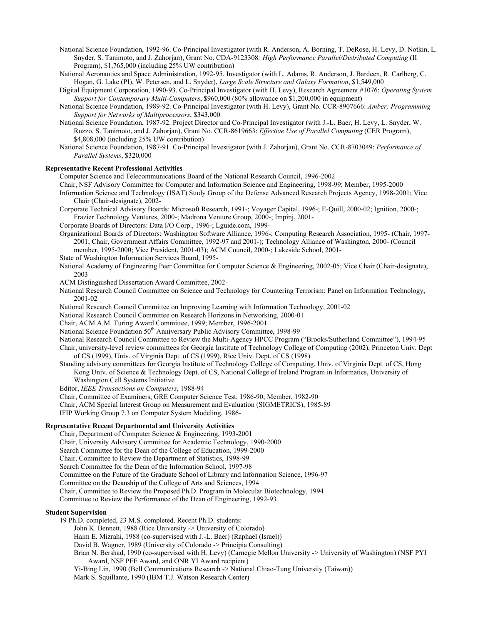National Science Foundation, 1992-96. Co-Principal Investigator (with R. Anderson, A. Borning, T. DeRose, H. Levy, D. Notkin, L. Snyder, S. Tanimoto, and J. Zahorjan), Grant No. CDA-9123308*: High Performance Parallel/Distributed Computing* (II Program), \$1,765,000 (including 25% UW contribution)

National Aeronautics and Space Administration, 1992-95. Investigator (with L. Adams, R. Anderson, J. Bardeen, R. Carlberg, C. Hogan, G. Lake (PI), W. Petersen, and L. Snyder), *Large Scale Structure and Galaxy Formation*, \$1,549,000

Digital Equipment Corporation, 1990-93. Co-Principal Investigator (with H. Levy), Research Agreement #1076: *Operating System Support for Contemporary Multi-Computers*, \$960,000 (80% allowance on \$1,200,000 in equipment)

- National Science Foundation, 1989-92. Co-Principal Investigator (with H. Levy), Grant No. CCR-8907666: *Amber: Programming Support for Networks of Multiprocessors*, \$343,000
- National Science Foundation, 1987-92. Project Director and Co-Principal Investigator (with J.-L. Baer, H. Levy, L. Snyder, W. Ruzzo, S. Tanimoto, and J. Zahorjan), Grant No. CCR-8619663: *Effective Use of Parallel Computing* (CER Program), \$4,808,000 (including 25% UW contribution)

National Science Foundation, 1987-91. Co-Principal Investigator (with J. Zahorjan), Grant No. CCR-8703049: *Performance of Parallel Systems*, \$320,000

## **Representative Recent Professional Activities**

Computer Science and Telecommunications Board of the National Research Council, 1996-2002

Chair, NSF Advisory Committee for Computer and Information Science and Engineering, 1998-99; Member, 1995-2000

- Information Science and Technology (ISAT) Study Group of the Defense Advanced Research Projects Agency, 1998-2001; Vice Chair (Chair-designate), 2002-
- Corporate Technical Advisory Boards: Microsoft Research, 1991-; Voyager Capital, 1996-; E-Quill, 2000-02; Ignition, 2000-; Frazier Technology Ventures, 2000-; Madrona Venture Group, 2000-; Impinj, 2001-
- Corporate Boards of Directors: Data I/O Corp., 1996-; Lguide.com, 1999-
- Organizational Boards of Directors: Washington Software Alliance, 1996-; Computing Research Association, 1995- (Chair, 1997- 2001; Chair, Government Affairs Committee, 1992-97 and 2001-); Technology Alliance of Washington, 2000- (Council member, 1995-2000; Vice President, 2001-03); ACM Council, 2000-; Lakeside School, 2001-
- State of Washington Information Services Board, 1995-
- National Academy of Engineering Peer Committee for Computer Science & Engineering, 2002-05; Vice Chair (Chair-designate), 2003
- ACM Distinguished Dissertation Award Committee, 2002-
- National Research Council Committee on Science and Technology for Countering Terrorism: Panel on Information Technology, 2001-02
- National Research Council Committee on Improving Learning with Information Technology, 2001-02
- National Research Council Committee on Research Horizons in Networking, 2000-01
- Chair, ACM A.M. Turing Award Committee, 1999; Member, 1996-2001
- National Science Foundation 50<sup>th</sup> Anniversary Public Advisory Committee, 1998-99

National Research Council Committee to Review the Multi-Agency HPCC Program ("Brooks/Sutherland Committee"), 1994-95 Chair, university-level review committees for Georgia Institute of Technology College of Computing (2002), Princeton Univ. Dept of CS (1999), Univ. of Virginia Dept. of CS (1999), Rice Univ. Dept. of CS (1998)

Standing advisory committees for Georgia Institute of Technology College of Computing, Univ. of Virginia Dept. of CS, Hong Kong Univ. of Science & Technology Dept. of CS, National College of Ireland Program in Informatics, University of Washington Cell Systems Initiative

Editor, *IEEE Transactions on Computers*, 1988-94

Chair, Committee of Examiners, GRE Computer Science Test, 1986-90; Member, 1982-90

Chair, ACM Special Interest Group on Measurement and Evaluation (SIGMETRICS), 1985-89

IFIP Working Group 7.3 on Computer System Modeling, 1986-

# **Representative Recent Departmental and University Activities**

Chair, Department of Computer Science & Engineering, 1993-2001 Chair, University Advisory Committee for Academic Technology, 1990-2000 Search Committee for the Dean of the College of Education, 1999-2000 Chair, Committee to Review the Department of Statistics, 1998-99 Search Committee for the Dean of the Information School, 1997-98 Committee on the Future of the Graduate School of Library and Information Science, 1996-97 Committee on the Deanship of the College of Arts and Sciences, 1994 Chair, Committee to Review the Proposed Ph.D. Program in Molecular Biotechnology, 1994 Committee to Review the Performance of the Dean of Engineering, 1992-93

#### **Student Supervision**

19 Ph.D. completed, 23 M.S. completed. Recent Ph.D. students:

John K. Bennett, 1988 (Rice University -> University of Colorado)

- Haim E. Mizrahi, 1988 (co-supervised with J.-L. Baer) (Raphael (Israel))
- David B. Wagner, 1989 (University of Colorado -> Principia Consulting)
- Brian N. Bershad, 1990 (co-supervised with H. Levy) (Carnegie Mellon University -> University of Washington) (NSF PYI Award, NSF PFF Award, and ONR YI Award recipient)

Yi-Bing Lin, 1990 (Bell Communications Research -> National Chiao-Tung University (Taiwan))

Mark S. Squillante, 1990 (IBM T.J. Watson Research Center)